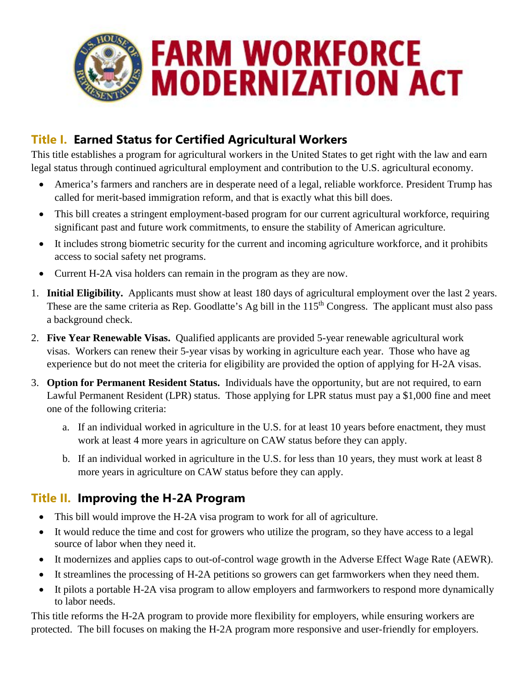

## **Title I. Earned Status for Certified Agricultural Workers**

This title establishes a program for agricultural workers in the United States to get right with the law and earn legal status through continued agricultural employment and contribution to the U.S. agricultural economy.

- America's farmers and ranchers are in desperate need of a legal, reliable workforce. President Trump has called for merit-based immigration reform, and that is exactly what this bill does.
- This bill creates a stringent employment-based program for our current agricultural workforce, requiring significant past and future work commitments, to ensure the stability of American agriculture.
- It includes strong biometric security for the current and incoming agriculture workforce, and it prohibits access to social safety net programs.
- Current H-2A visa holders can remain in the program as they are now.
- 1. **Initial Eligibility.** Applicants must show at least 180 days of agricultural employment over the last 2 years. These are the same criteria as Rep. Goodlatte's Ag bill in the 115<sup>th</sup> Congress. The applicant must also pass a background check.
- 2. **Five Year Renewable Visas.** Qualified applicants are provided 5-year renewable agricultural work visas. Workers can renew their 5-year visas by working in agriculture each year. Those who have ag experience but do not meet the criteria for eligibility are provided the option of applying for H-2A visas.
- 3. **Option for Permanent Resident Status.** Individuals have the opportunity, but are not required, to earn Lawful Permanent Resident (LPR) status. Those applying for LPR status must pay a \$1,000 fine and meet one of the following criteria:
	- a. If an individual worked in agriculture in the U.S. for at least 10 years before enactment, they must work at least 4 more years in agriculture on CAW status before they can apply.
	- b. If an individual worked in agriculture in the U.S. for less than 10 years, they must work at least 8 more years in agriculture on CAW status before they can apply.

## **Title II. Improving the H-2A Program**

- This bill would improve the H-2A visa program to work for all of agriculture.
- It would reduce the time and cost for growers who utilize the program, so they have access to a legal source of labor when they need it.
- It modernizes and applies caps to out-of-control wage growth in the Adverse Effect Wage Rate (AEWR).
- It streamlines the processing of H-2A petitions so growers can get farmworkers when they need them.
- It pilots a portable H-2A visa program to allow employers and farmworkers to respond more dynamically to labor needs.

This title reforms the H-2A program to provide more flexibility for employers, while ensuring workers are protected. The bill focuses on making the H-2A program more responsive and user-friendly for employers.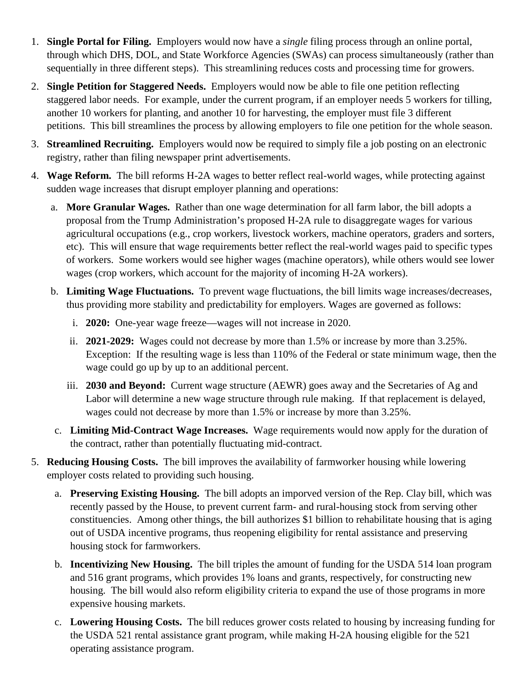- 1. **Single Portal for Filing.** Employers would now have a *single* filing process through an online portal, through which DHS, DOL, and State Workforce Agencies (SWAs) can process simultaneously (rather than sequentially in three different steps). This streamlining reduces costs and processing time for growers.
- 2. **Single Petition for Staggered Needs.** Employers would now be able to file one petition reflecting staggered labor needs. For example, under the current program, if an employer needs 5 workers for tilling, another 10 workers for planting, and another 10 for harvesting, the employer must file 3 different petitions. This bill streamlines the process by allowing employers to file one petition for the whole season.
- 3. **Streamlined Recruiting.** Employers would now be required to simply file a job posting on an electronic registry, rather than filing newspaper print advertisements.
- 4. **Wage Reform.** The bill reforms H-2A wages to better reflect real-world wages, while protecting against sudden wage increases that disrupt employer planning and operations:
	- a. **More Granular Wages.** Rather than one wage determination for all farm labor, the bill adopts a proposal from the Trump Administration's proposed H-2A rule to disaggregate wages for various agricultural occupations (e.g., crop workers, livestock workers, machine operators, graders and sorters, etc). This will ensure that wage requirements better reflect the real-world wages paid to specific types of workers. Some workers would see higher wages (machine operators), while others would see lower wages (crop workers, which account for the majority of incoming H-2A workers).
	- b. **Limiting Wage Fluctuations.** To prevent wage fluctuations, the bill limits wage increases/decreases, thus providing more stability and predictability for employers. Wages are governed as follows:
		- i. **2020:** One-year wage freeze—wages will not increase in 2020.
		- ii. **2021-2029:** Wages could not decrease by more than 1.5% or increase by more than 3.25%. Exception: If the resulting wage is less than 110% of the Federal or state minimum wage, then the wage could go up by up to an additional percent.
		- iii. **2030 and Beyond:** Current wage structure (AEWR) goes away and the Secretaries of Ag and Labor will determine a new wage structure through rule making. If that replacement is delayed, wages could not decrease by more than 1.5% or increase by more than 3.25%.
	- c. **Limiting Mid-Contract Wage Increases.** Wage requirements would now apply for the duration of the contract, rather than potentially fluctuating mid-contract.
- 5. **Reducing Housing Costs.** The bill improves the availability of farmworker housing while lowering employer costs related to providing such housing.
	- a. **Preserving Existing Housing.** The bill adopts an imporved version of the Rep. Clay bill, which was recently passed by the House, to prevent current farm- and rural-housing stock from serving other constituencies. Among other things, the bill authorizes \$1 billion to rehabilitate housing that is aging out of USDA incentive programs, thus reopening eligibility for rental assistance and preserving housing stock for farmworkers.
	- b. **Incentivizing New Housing.** The bill triples the amount of funding for the USDA 514 loan program and 516 grant programs, which provides 1% loans and grants, respectively, for constructing new housing. The bill would also reform eligibility criteria to expand the use of those programs in more expensive housing markets.
	- c. **Lowering Housing Costs.** The bill reduces grower costs related to housing by increasing funding for the USDA 521 rental assistance grant program, while making H-2A housing eligible for the 521 operating assistance program.